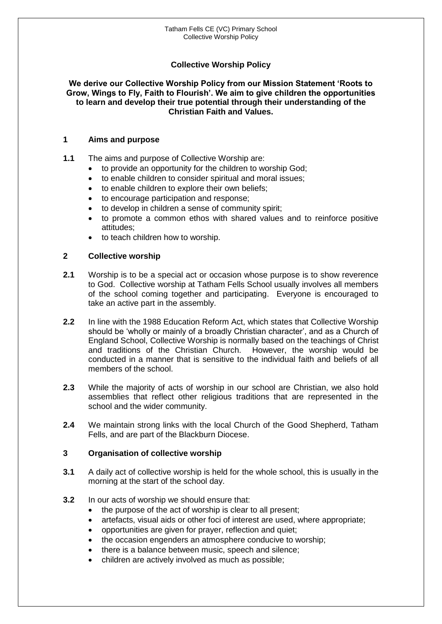# **Collective Worship Policy**

#### **We derive our Collective Worship Policy from our Mission Statement 'Roots to Grow, Wings to Fly, Faith to Flourish'. We aim to give children the opportunities to learn and develop their true potential through their understanding of the Christian Faith and Values.**

#### **1 Aims and purpose**

**1.1** The aims and purpose of Collective Worship are:

- to provide an opportunity for the children to worship God;
- to enable children to consider spiritual and moral issues;
- to enable children to explore their own beliefs;
- to encourage participation and response;
- to develop in children a sense of community spirit;
- to promote a common ethos with shared values and to reinforce positive attitudes;
- to teach children how to worship.

## **2 Collective worship**

- **2.1** Worship is to be a special act or occasion whose purpose is to show reverence to God. Collective worship at Tatham Fells School usually involves all members of the school coming together and participating. Everyone is encouraged to take an active part in the assembly.
- **2.2** In line with the 1988 Education Reform Act, which states that Collective Worship should be 'wholly or mainly of a broadly Christian character', and as a Church of England School, Collective Worship is normally based on the teachings of Christ and traditions of the Christian Church. conducted in a manner that is sensitive to the individual faith and beliefs of all members of the school.
- **2.3** While the majority of acts of worship in our school are Christian, we also hold assemblies that reflect other religious traditions that are represented in the school and the wider community.
- **2.4** We maintain strong links with the local Church of the Good Shepherd, Tatham Fells, and are part of the Blackburn Diocese.

## **3 Organisation of collective worship**

- **3.1** A daily act of collective worship is held for the whole school, this is usually in the morning at the start of the school day.
- **3.2** In our acts of worship we should ensure that:
	- the purpose of the act of worship is clear to all present;
	- artefacts, visual aids or other foci of interest are used, where appropriate;
	- opportunities are given for prayer, reflection and quiet;
	- the occasion engenders an atmosphere conducive to worship;
	- there is a balance between music, speech and silence;
	- children are actively involved as much as possible;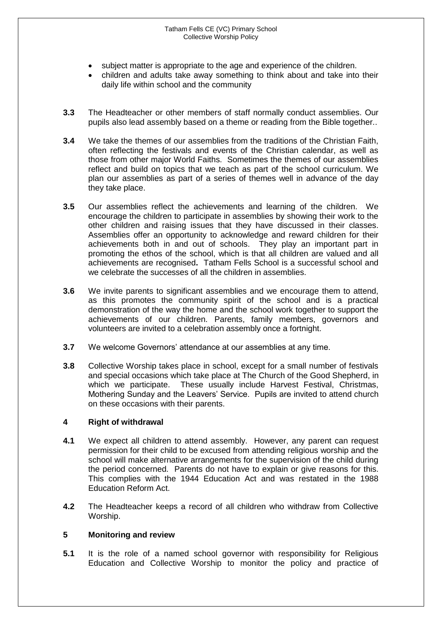- subject matter is appropriate to the age and experience of the children.
- children and adults take away something to think about and take into their daily life within school and the community
- **3.3** The Headteacher or other members of staff normally conduct assemblies. Our pupils also lead assembly based on a theme or reading from the Bible together..
- **3.4** We take the themes of our assemblies from the traditions of the Christian Faith, often reflecting the festivals and events of the Christian calendar, as well as those from other major World Faiths. Sometimes the themes of our assemblies reflect and build on topics that we teach as part of the school curriculum. We plan our assemblies as part of a series of themes well in advance of the day they take place.
- **3.5** Our assemblies reflect the achievements and learning of the children. We encourage the children to participate in assemblies by showing their work to the other children and raising issues that they have discussed in their classes. Assemblies offer an opportunity to acknowledge and reward children for their achievements both in and out of schools. They play an important part in promoting the ethos of the school, which is that all children are valued and all achievements are recognised**.** Tatham Fells School is a successful school and we celebrate the successes of all the children in assemblies.
- **3.6** We invite parents to significant assemblies and we encourage them to attend, as this promotes the community spirit of the school and is a practical demonstration of the way the home and the school work together to support the achievements of our children. Parents, family members, governors and volunteers are invited to a celebration assembly once a fortnight.
- **3.7** We welcome Governors' attendance at our assemblies at any time.
- **3.8** Collective Worship takes place in school, except for a small number of festivals and special occasions which take place at The Church of the Good Shepherd, in which we participate. These usually include Harvest Festival, Christmas, Mothering Sunday and the Leavers' Service. Pupils are invited to attend church on these occasions with their parents.

#### **4 Right of withdrawal**

- **4.1** We expect all children to attend assembly. However, any parent can request permission for their child to be excused from attending religious worship and the school will make alternative arrangements for the supervision of the child during the period concerned. Parents do not have to explain or give reasons for this. This complies with the 1944 Education Act and was restated in the 1988 Education Reform Act.
- **4.2** The Headteacher keeps a record of all children who withdraw from Collective Worship.

## **5 Monitoring and review**

**5.1** It is the role of a named school governor with responsibility for Religious Education and Collective Worship to monitor the policy and practice of